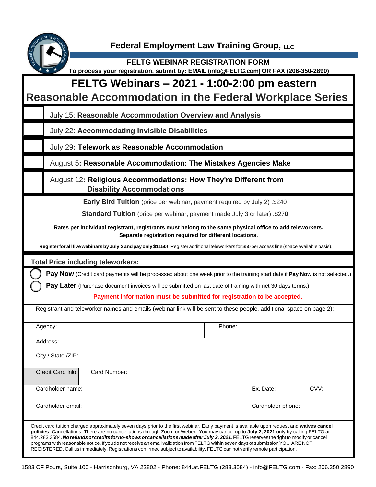

 $\overline{O}$